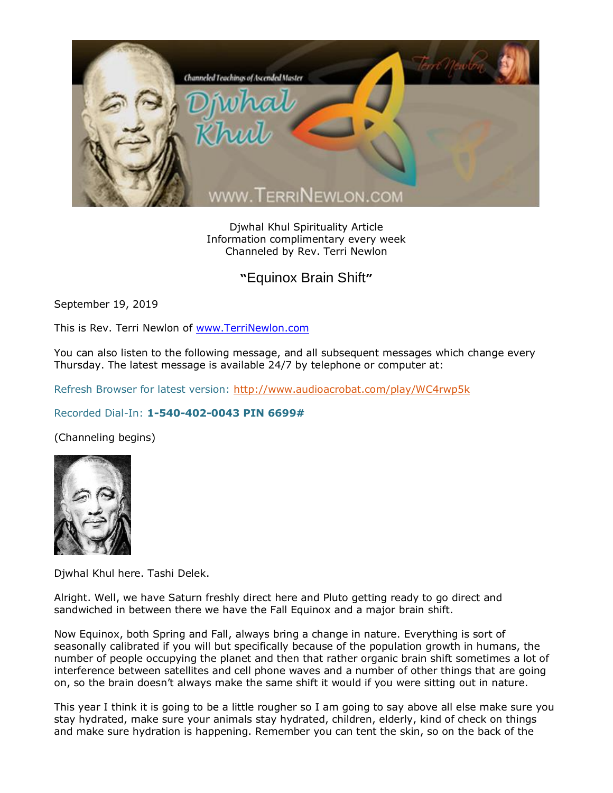

Djwhal Khul Spirituality Article Information complimentary every week Channeled by Rev. Terri Newlon

## **"**Equinox Brain Shift**"**

September 19, 2019

This is Rev. Terri Newlon of [www.TerriNewlon.com](http://www.terrinewlon.com/)

You can also listen to the following message, and all subsequent messages which change every Thursday. The latest message is available 24/7 by telephone or computer at:

Refresh Browser for latest version:<http://www.audioacrobat.com/play/WC4rwp5k>

## Recorded Dial-In: **1-540-402-0043 PIN 6699#**

(Channeling begins)



Djwhal Khul here. Tashi Delek.

Alright. Well, we have Saturn freshly direct here and Pluto getting ready to go direct and sandwiched in between there we have the Fall Equinox and a major brain shift.

Now Equinox, both Spring and Fall, always bring a change in nature. Everything is sort of seasonally calibrated if you will but specifically because of the population growth in humans, the number of people occupying the planet and then that rather organic brain shift sometimes a lot of interference between satellites and cell phone waves and a number of other things that are going on, so the brain doesn't always make the same shift it would if you were sitting out in nature.

This year I think it is going to be a little rougher so I am going to say above all else make sure you stay hydrated, make sure your animals stay hydrated, children, elderly, kind of check on things and make sure hydration is happening. Remember you can tent the skin, so on the back of the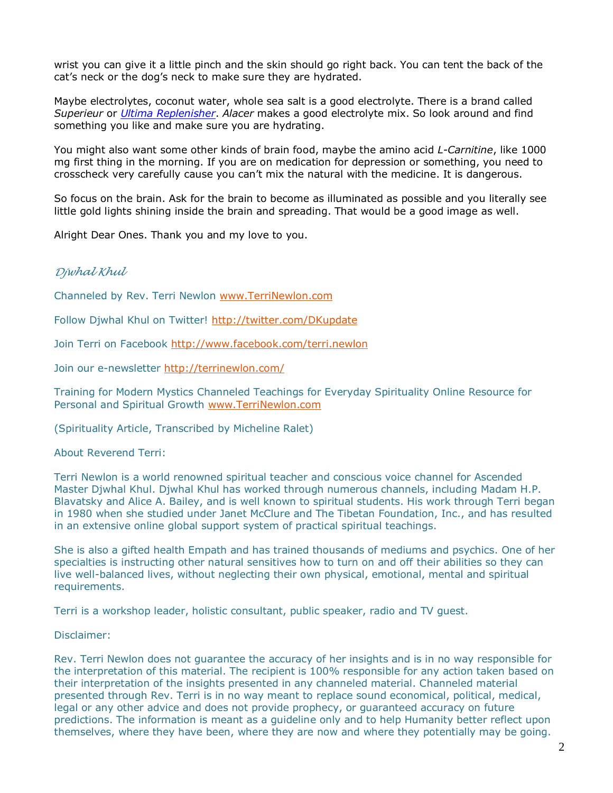wrist you can give it a little pinch and the skin should go right back. You can tent the back of the cat's neck or the dog's neck to make sure they are hydrated.

Maybe electrolytes, coconut water, whole sea salt is a good electrolyte. There is a brand called *Superieur* or *[Ultima Replenisher](https://www.vitacost.com/productResults.aspx?N=0&ss=1&Ntt=Ultima)*. *Alacer* makes a good electrolyte mix. So look around and find something you like and make sure you are hydrating.

You might also want some other kinds of brain food, maybe the amino acid *L-Carnitine*, like 1000 mg first thing in the morning. If you are on medication for depression or something, you need to crosscheck very carefully cause you can't mix the natural with the medicine. It is dangerous.

So focus on the brain. Ask for the brain to become as illuminated as possible and you literally see little gold lights shining inside the brain and spreading. That would be a good image as well.

Alright Dear Ones. Thank you and my love to you.

## *Djwhal Khul*

Channeled by Rev. Terri Newlon [www.TerriNewlon.com](http://www.terrinewlon.com/)

Follow Djwhal Khul on Twitter!<http://twitter.com/DKupdate>

Join Terri on Facebook<http://www.facebook.com/terri.newlon>

Join our e-newsletter<http://terrinewlon.com/>

Training for Modern Mystics Channeled Teachings for Everyday Spirituality Online Resource for Personal and Spiritual Growth [www.TerriNewlon.com](http://www.terrinewlon.com/)

(Spirituality Article, Transcribed by Micheline Ralet)

About Reverend Terri:

Terri Newlon is a world renowned spiritual teacher and conscious voice channel for Ascended Master Djwhal Khul. Djwhal Khul has worked through numerous channels, including Madam H.P. Blavatsky and Alice A. Bailey, and is well known to spiritual students. His work through Terri began in 1980 when she studied under Janet McClure and The Tibetan Foundation, Inc., and has resulted in an extensive online global support system of practical spiritual teachings.

She is also a gifted health Empath and has trained thousands of mediums and psychics. One of her specialties is instructing other natural sensitives how to turn on and off their abilities so they can live well-balanced lives, without neglecting their own physical, emotional, mental and spiritual requirements.

Terri is a workshop leader, holistic consultant, public speaker, radio and TV guest.

Disclaimer:

Rev. Terri Newlon does not guarantee the accuracy of her insights and is in no way responsible for the interpretation of this material. The recipient is 100% responsible for any action taken based on their interpretation of the insights presented in any channeled material. Channeled material presented through Rev. Terri is in no way meant to replace sound economical, political, medical, legal or any other advice and does not provide prophecy, or guaranteed accuracy on future predictions. The information is meant as a guideline only and to help Humanity better reflect upon themselves, where they have been, where they are now and where they potentially may be going.